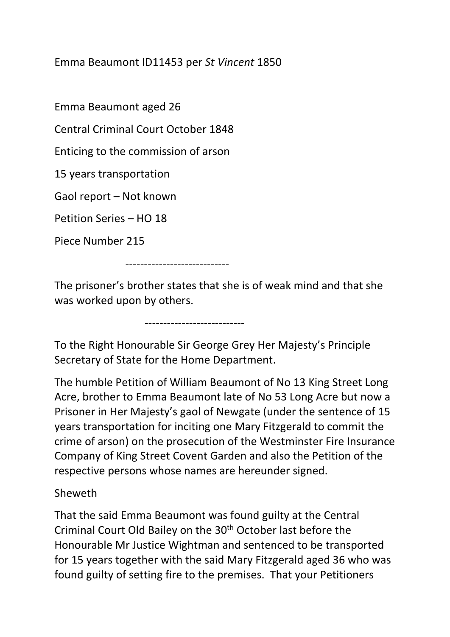Emma Beaumont ID11453 per *St Vincent* 1850

Emma Beaumont aged 26

Central Criminal Court October 1848

Enticing to the commission of arson

---------------------------

15 years transportation

Gaol report – Not known

Petition Series – HO 18

Piece Number 215

----------------------------

The prisoner's brother states that she is of weak mind and that she was worked upon by others.

To the Right Honourable Sir George Grey Her Majesty's Principle Secretary of State for the Home Department.

The humble Petition of William Beaumont of No 13 King Street Long Acre, brother to Emma Beaumont late of No 53 Long Acre but now a Prisoner in Her Majesty's gaol of Newgate (under the sentence of 15 years transportation for inciting one Mary Fitzgerald to commit the crime of arson) on the prosecution of the Westminster Fire Insurance Company of King Street Covent Garden and also the Petition of the respective persons whose names are hereunder signed.

## Sheweth

That the said Emma Beaumont was found guilty at the Central Criminal Court Old Bailey on the 30th October last before the Honourable Mr Justice Wightman and sentenced to be transported for 15 years together with the said Mary Fitzgerald aged 36 who was found guilty of setting fire to the premises. That your Petitioners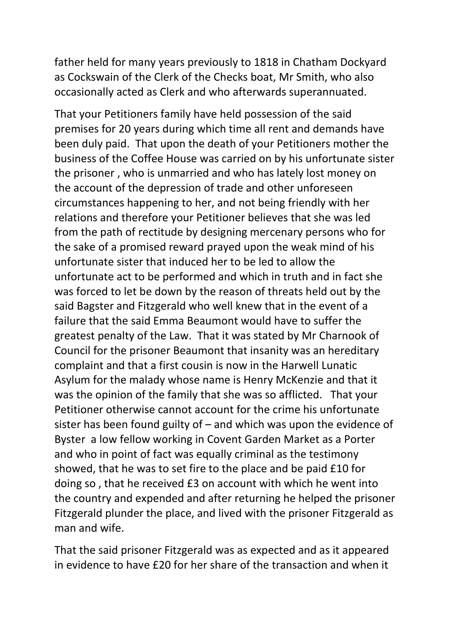father held for many years previously to 1818 in Chatham Dockyard as Cockswain of the Clerk of the Checks boat, Mr Smith, who also occasionally acted as Clerk and who afterwards superannuated.

That your Petitioners family have held possession of the said premises for 20 years during which time all rent and demands have been duly paid. That upon the death of your Petitioners mother the business of the Coffee House was carried on by his unfortunate sister the prisoner , who is unmarried and who has lately lost money on the account of the depression of trade and other unforeseen circumstances happening to her, and not being friendly with her relations and therefore your Petitioner believes that she was led from the path of rectitude by designing mercenary persons who for the sake of a promised reward prayed upon the weak mind of his unfortunate sister that induced her to be led to allow the unfortunate act to be performed and which in truth and in fact she was forced to let be down by the reason of threats held out by the said Bagster and Fitzgerald who well knew that in the event of a failure that the said Emma Beaumont would have to suffer the greatest penalty of the Law. That it was stated by Mr Charnook of Council for the prisoner Beaumont that insanity was an hereditary complaint and that a first cousin is now in the Harwell Lunatic Asylum for the malady whose name is Henry McKenzie and that it was the opinion of the family that she was so afflicted. That your Petitioner otherwise cannot account for the crime his unfortunate sister has been found guilty of – and which was upon the evidence of Byster a low fellow working in Covent Garden Market as a Porter and who in point of fact was equally criminal as the testimony showed, that he was to set fire to the place and be paid £10 for doing so , that he received £3 on account with which he went into the country and expended and after returning he helped the prisoner Fitzgerald plunder the place, and lived with the prisoner Fitzgerald as man and wife.

That the said prisoner Fitzgerald was as expected and as it appeared in evidence to have £20 for her share of the transaction and when it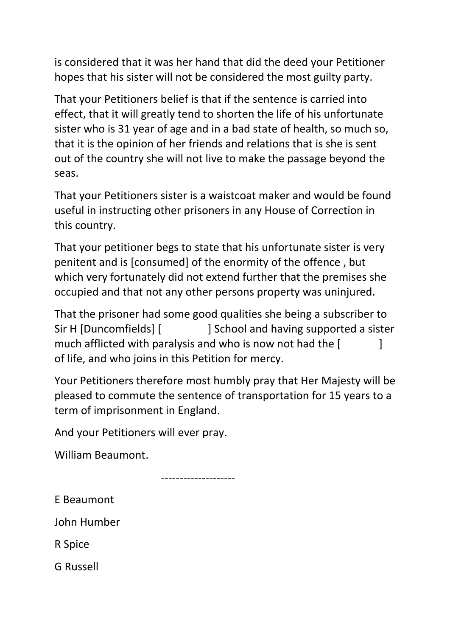is considered that it was her hand that did the deed your Petitioner hopes that his sister will not be considered the most guilty party.

That your Petitioners belief is that if the sentence is carried into effect, that it will greatly tend to shorten the life of his unfortunate sister who is 31 year of age and in a bad state of health, so much so, that it is the opinion of her friends and relations that is she is sent out of the country she will not live to make the passage beyond the seas.

That your Petitioners sister is a waistcoat maker and would be found useful in instructing other prisoners in any House of Correction in this country.

That your petitioner begs to state that his unfortunate sister is very penitent and is [consumed] of the enormity of the offence , but which very fortunately did not extend further that the premises she occupied and that not any other persons property was uninjured.

That the prisoner had some good qualities she being a subscriber to Sir H [Duncomfields] [ ] School and having supported a sister much afflicted with paralysis and who is now not had the [ of life, and who joins in this Petition for mercy.

Your Petitioners therefore most humbly pray that Her Majesty will be pleased to commute the sentence of transportation for 15 years to a term of imprisonment in England.

And your Petitioners will ever pray.

William Beaumont.

--------------------

E Beaumont

John Humber

R Spice

G Russell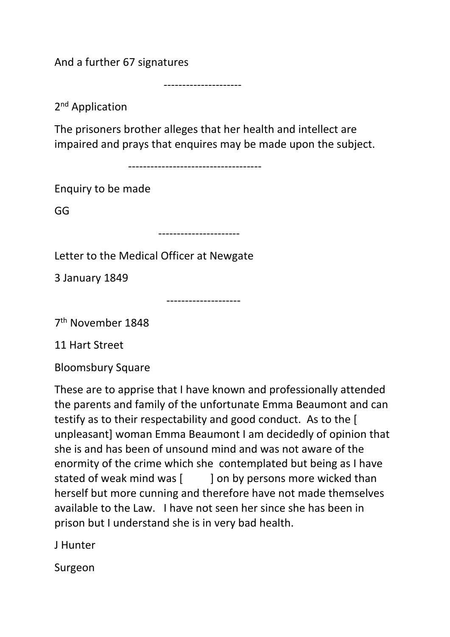And a further 67 signatures

---------------------

2<sup>nd</sup> Application

The prisoners brother alleges that her health and intellect are impaired and prays that enquires may be made upon the subject.

------------------------------------

Enquiry to be made

GG

----------------------

--------------------

Letter to the Medical Officer at Newgate

3 January 1849

7th November 1848

11 Hart Street

Bloomsbury Square

These are to apprise that I have known and professionally attended the parents and family of the unfortunate Emma Beaumont and can testify as to their respectability and good conduct. As to the [ unpleasant] woman Emma Beaumont I am decidedly of opinion that she is and has been of unsound mind and was not aware of the enormity of the crime which she contemplated but being as I have stated of weak mind was [ ] on by persons more wicked than herself but more cunning and therefore have not made themselves available to the Law. I have not seen her since she has been in prison but I understand she is in very bad health.

J Hunter

Surgeon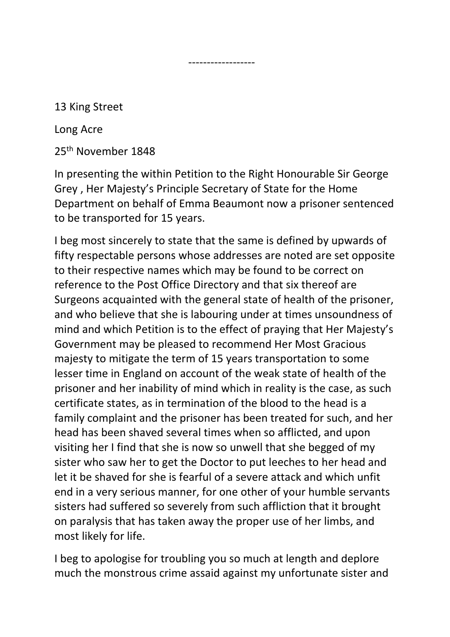13 King Street

Long Acre

25th November 1848

------------------

In presenting the within Petition to the Right Honourable Sir George Grey , Her Majesty's Principle Secretary of State for the Home Department on behalf of Emma Beaumont now a prisoner sentenced to be transported for 15 years.

I beg most sincerely to state that the same is defined by upwards of fifty respectable persons whose addresses are noted are set opposite to their respective names which may be found to be correct on reference to the Post Office Directory and that six thereof are Surgeons acquainted with the general state of health of the prisoner, and who believe that she is labouring under at times unsoundness of mind and which Petition is to the effect of praying that Her Majesty's Government may be pleased to recommend Her Most Gracious majesty to mitigate the term of 15 years transportation to some lesser time in England on account of the weak state of health of the prisoner and her inability of mind which in reality is the case, as such certificate states, as in termination of the blood to the head is a family complaint and the prisoner has been treated for such, and her head has been shaved several times when so afflicted, and upon visiting her I find that she is now so unwell that she begged of my sister who saw her to get the Doctor to put leeches to her head and let it be shaved for she is fearful of a severe attack and which unfit end in a very serious manner, for one other of your humble servants sisters had suffered so severely from such affliction that it brought on paralysis that has taken away the proper use of her limbs, and most likely for life.

I beg to apologise for troubling you so much at length and deplore much the monstrous crime assaid against my unfortunate sister and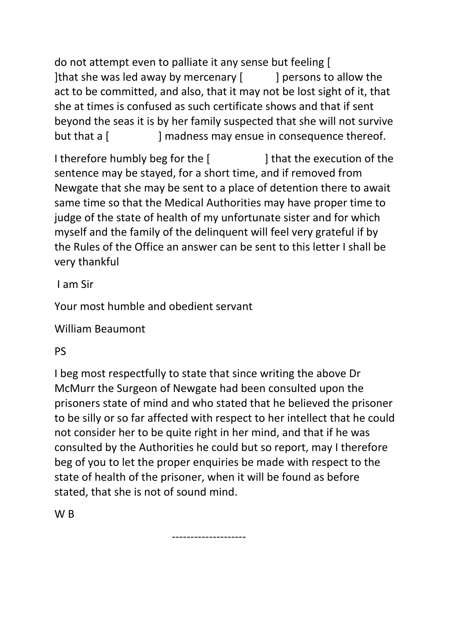do not attempt even to palliate it any sense but feeling [ ] Ithat she was led away by mercenary  $\lceil \cdot \cdot \cdot \rceil$  persons to allow the act to be committed, and also, that it may not be lost sight of it, that she at times is confused as such certificate shows and that if sent beyond the seas it is by her family suspected that she will not survive but that a [ ] madness may ensue in consequence thereof.

I therefore humbly beg for the [ ] that the execution of the sentence may be stayed, for a short time, and if removed from Newgate that she may be sent to a place of detention there to await same time so that the Medical Authorities may have proper time to judge of the state of health of my unfortunate sister and for which myself and the family of the delinquent will feel very grateful if by the Rules of the Office an answer can be sent to this letter I shall be very thankful

I am Sir

Your most humble and obedient servant

William Beaumont

PS

I beg most respectfully to state that since writing the above Dr McMurr the Surgeon of Newgate had been consulted upon the prisoners state of mind and who stated that he believed the prisoner to be silly or so far affected with respect to her intellect that he could not consider her to be quite right in her mind, and that if he was consulted by the Authorities he could but so report, may I therefore beg of you to let the proper enquiries be made with respect to the state of health of the prisoner, when it will be found as before stated, that she is not of sound mind.

--------------------

W B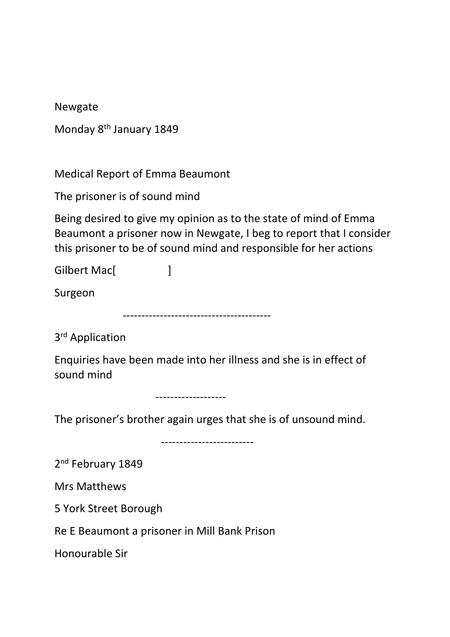Newgate

| Monday 8 <sup>th</sup> January 1849 |  |  |
|-------------------------------------|--|--|
|-------------------------------------|--|--|

Medical Report of Emma Beaumont

The prisoner is of sound mind

Being desired to give my opinion as to the state of mind of Emma Beaumont a prisoner now in Newgate, I beg to report that I consider this prisoner to be of sound mind and responsible for her actions

Gilbert Mac[ ]

Surgeon

----------------------------------------

3rd Application

Enquiries have been made into her illness and she is in effect of sound mind

-------------------

The prisoner's brother again urges that she is of unsound mind.

-------------------------

2<sup>nd</sup> February 1849

Mrs Matthews

5 York Street Borough

Re E Beaumont a prisoner in Mill Bank Prison

Honourable Sir